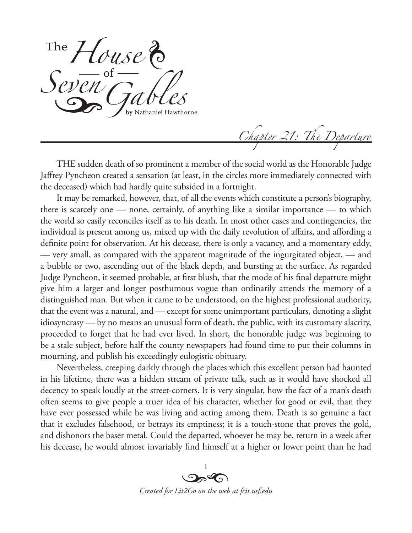*House* Seven Gables

*Chapter 21: The Departure*

THE sudden death of so prominent a member of the social world as the Honorable Judge Jaffrey Pyncheon created a sensation (at least, in the circles more immediately connected with the deceased) which had hardly quite subsided in a fortnight.

It may be remarked, however, that, of all the events which constitute a person's biography, there is scarcely one — none, certainly, of anything like a similar importance — to which the world so easily reconciles itself as to his death. In most other cases and contingencies, the individual is present among us, mixed up with the daily revolution of affairs, and affording a definite point for observation. At his decease, there is only a vacancy, and a momentary eddy, — very small, as compared with the apparent magnitude of the ingurgitated object, — and a bubble or two, ascending out of the black depth, and bursting at the surface. As regarded Judge Pyncheon, it seemed probable, at first blush, that the mode of his final departure might give him a larger and longer posthumous vogue than ordinarily attends the memory of a distinguished man. But when it came to be understood, on the highest professional authority, that the event was a natural, and — except for some unimportant particulars, denoting a slight idiosyncrasy — by no means an unusual form of death, the public, with its customary alacrity, proceeded to forget that he had ever lived. In short, the honorable judge was beginning to be a stale subject, before half the county newspapers had found time to put their columns in mourning, and publish his exceedingly eulogistic obituary.

Nevertheless, creeping darkly through the places which this excellent person had haunted in his lifetime, there was a hidden stream of private talk, such as it would have shocked all decency to speak loudly at the street-corners. It is very singular, how the fact of a man's death often seems to give people a truer idea of his character, whether for good or evil, than they have ever possessed while he was living and acting among them. Death is so genuine a fact that it excludes falsehood, or betrays its emptiness; it is a touch-stone that proves the gold, and dishonors the baser metal. Could the departed, whoever he may be, return in a week after his decease, he would almost invariably find himself at a higher or lower point than he had

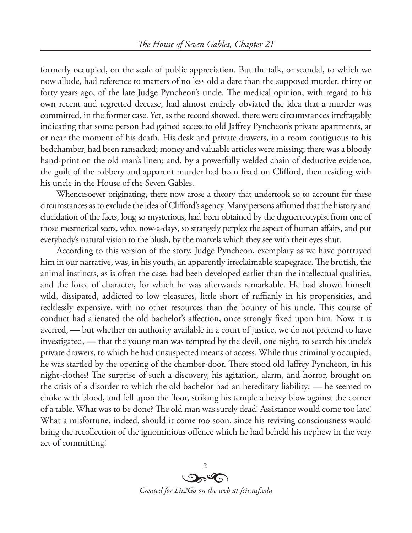formerly occupied, on the scale of public appreciation. But the talk, or scandal, to which we now allude, had reference to matters of no less old a date than the supposed murder, thirty or forty years ago, of the late Judge Pyncheon's uncle. The medical opinion, with regard to his own recent and regretted decease, had almost entirely obviated the idea that a murder was committed, in the former case. Yet, as the record showed, there were circumstances irrefragably indicating that some person had gained access to old Jaffrey Pyncheon's private apartments, at or near the moment of his death. His desk and private drawers, in a room contiguous to his bedchamber, had been ransacked; money and valuable articles were missing; there was a bloody hand-print on the old man's linen; and, by a powerfully welded chain of deductive evidence, the guilt of the robbery and apparent murder had been fixed on Clifford, then residing with his uncle in the House of the Seven Gables.

Whencesoever originating, there now arose a theory that undertook so to account for these circumstances as to exclude the idea of Clifford's agency. Many persons affirmed that the history and elucidation of the facts, long so mysterious, had been obtained by the daguerreotypist from one of those mesmerical seers, who, now-a-days, so strangely perplex the aspect of human affairs, and put everybody's natural vision to the blush, by the marvels which they see with their eyes shut.

According to this version of the story, Judge Pyncheon, exemplary as we have portrayed him in our narrative, was, in his youth, an apparently irreclaimable scapegrace. The brutish, the animal instincts, as is often the case, had been developed earlier than the intellectual qualities, and the force of character, for which he was afterwards remarkable. He had shown himself wild, dissipated, addicted to low pleasures, little short of ruffianly in his propensities, and recklessly expensive, with no other resources than the bounty of his uncle. This course of conduct had alienated the old bachelor's affection, once strongly fixed upon him. Now, it is averred, — but whether on authority available in a court of justice, we do not pretend to have investigated, — that the young man was tempted by the devil, one night, to search his uncle's private drawers, to which he had unsuspected means of access. While thus criminally occupied, he was startled by the opening of the chamber-door. There stood old Jaffrey Pyncheon, in his night-clothes! The surprise of such a discovery, his agitation, alarm, and horror, brought on the crisis of a disorder to which the old bachelor had an hereditary liability; — he seemed to choke with blood, and fell upon the floor, striking his temple a heavy blow against the corner of a table. What was to be done? The old man was surely dead! Assistance would come too late! What a misfortune, indeed, should it come too soon, since his reviving consciousness would bring the recollection of the ignominious offence which he had beheld his nephew in the very act of committing!

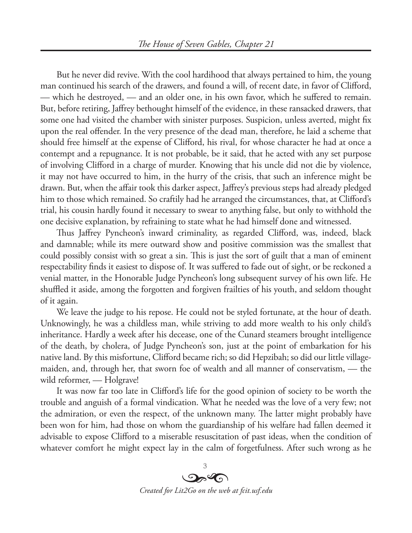But he never did revive. With the cool hardihood that always pertained to him, the young man continued his search of the drawers, and found a will, of recent date, in favor of Clifford, — which he destroyed, — and an older one, in his own favor, which he suffered to remain. But, before retiring, Jaffrey bethought himself of the evidence, in these ransacked drawers, that some one had visited the chamber with sinister purposes. Suspicion, unless averted, might fix upon the real offender. In the very presence of the dead man, therefore, he laid a scheme that should free himself at the expense of Clifford, his rival, for whose character he had at once a contempt and a repugnance. It is not probable, be it said, that he acted with any set purpose of involving Clifford in a charge of murder. Knowing that his uncle did not die by violence, it may not have occurred to him, in the hurry of the crisis, that such an inference might be drawn. But, when the affair took this darker aspect, Jaffrey's previous steps had already pledged him to those which remained. So craftily had he arranged the circumstances, that, at Clifford's trial, his cousin hardly found it necessary to swear to anything false, but only to withhold the one decisive explanation, by refraining to state what he had himself done and witnessed.

Thus Jaffrey Pyncheon's inward criminality, as regarded Clifford, was, indeed, black and damnable; while its mere outward show and positive commission was the smallest that could possibly consist with so great a sin. This is just the sort of guilt that a man of eminent respectability finds it easiest to dispose of. It was suffered to fade out of sight, or be reckoned a venial matter, in the Honorable Judge Pyncheon's long subsequent survey of his own life. He shuffled it aside, among the forgotten and forgiven frailties of his youth, and seldom thought of it again.

We leave the judge to his repose. He could not be styled fortunate, at the hour of death. Unknowingly, he was a childless man, while striving to add more wealth to his only child's inheritance. Hardly a week after his decease, one of the Cunard steamers brought intelligence of the death, by cholera, of Judge Pyncheon's son, just at the point of embarkation for his native land. By this misfortune, Clifford became rich; so did Hepzibah; so did our little villagemaiden, and, through her, that sworn foe of wealth and all manner of conservatism, — the wild reformer, — Holgrave!

It was now far too late in Clifford's life for the good opinion of society to be worth the trouble and anguish of a formal vindication. What he needed was the love of a very few; not the admiration, or even the respect, of the unknown many. The latter might probably have been won for him, had those on whom the guardianship of his welfare had fallen deemed it advisable to expose Clifford to a miserable resuscitation of past ideas, when the condition of whatever comfort he might expect lay in the calm of forgetfulness. After such wrong as he

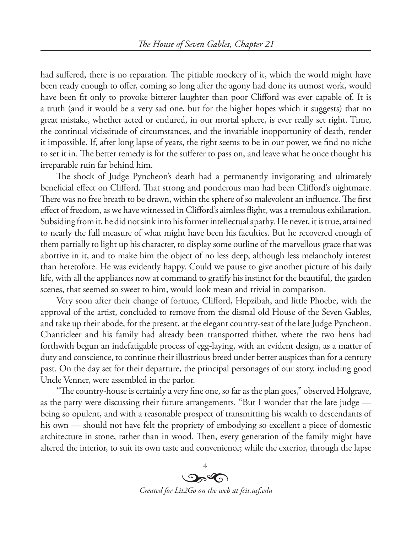had suffered, there is no reparation. The pitiable mockery of it, which the world might have been ready enough to offer, coming so long after the agony had done its utmost work, would have been fit only to provoke bitterer laughter than poor Clifford was ever capable of. It is a truth (and it would be a very sad one, but for the higher hopes which it suggests) that no great mistake, whether acted or endured, in our mortal sphere, is ever really set right. Time, the continual vicissitude of circumstances, and the invariable inopportunity of death, render it impossible. If, after long lapse of years, the right seems to be in our power, we find no niche to set it in. The better remedy is for the sufferer to pass on, and leave what he once thought his irreparable ruin far behind him.

The shock of Judge Pyncheon's death had a permanently invigorating and ultimately beneficial effect on Clifford. That strong and ponderous man had been Clifford's nightmare. There was no free breath to be drawn, within the sphere of so malevolent an influence. The first effect of freedom, as we have witnessed in Clifford's aimless flight, was a tremulous exhilaration. Subsiding from it, he did not sink into his former intellectual apathy. He never, it is true, attained to nearly the full measure of what might have been his faculties. But he recovered enough of them partially to light up his character, to display some outline of the marvellous grace that was abortive in it, and to make him the object of no less deep, although less melancholy interest than heretofore. He was evidently happy. Could we pause to give another picture of his daily life, with all the appliances now at command to gratify his instinct for the beautiful, the garden scenes, that seemed so sweet to him, would look mean and trivial in comparison.

Very soon after their change of fortune, Clifford, Hepzibah, and little Phoebe, with the approval of the artist, concluded to remove from the dismal old House of the Seven Gables, and take up their abode, for the present, at the elegant country-seat of the late Judge Pyncheon. Chanticleer and his family had already been transported thither, where the two hens had forthwith begun an indefatigable process of egg-laying, with an evident design, as a matter of duty and conscience, to continue their illustrious breed under better auspices than for a century past. On the day set for their departure, the principal personages of our story, including good Uncle Venner, were assembled in the parlor.

"The country-house is certainly a very fine one, so far as the plan goes," observed Holgrave, as the party were discussing their future arrangements. "But I wonder that the late judge being so opulent, and with a reasonable prospect of transmitting his wealth to descendants of his own — should not have felt the propriety of embodying so excellent a piece of domestic architecture in stone, rather than in wood. Then, every generation of the family might have altered the interior, to suit its own taste and convenience; while the exterior, through the lapse

> 4  $O_2$ *Created for Lit2Go on the web at fcit.usf.edu*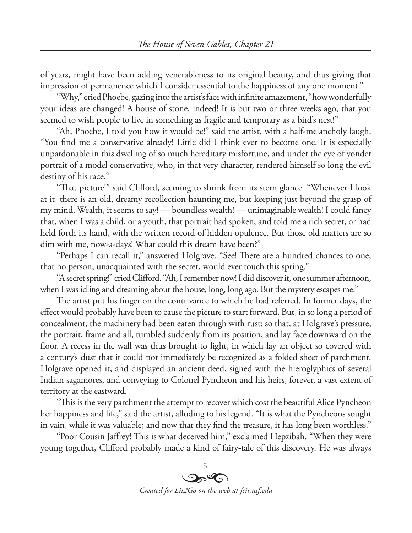of years, might have been adding venerableness to its original beauty, and thus giving that impression of permanence which I consider essential to the happiness of any one moment."

"Why," cried Phoebe, gazing into the artist's face with infinite amazement, "how wonderfully your ideas are changed! A house of stone, indeed! It is but two or three weeks ago, that you seemed to wish people to live in something as fragile and temporary as a bird's nest!"

"Ah, Phoebe, I told you how it would be!" said the artist, with a half-melancholy laugh. "You find me a conservative already! Little did I think ever to become one. It is especially unpardonable in this dwelling of so much hereditary misfortune, and under the eye of yonder portrait of a model conservative, who, in that very character, rendered himself so long the evil destiny of his race."

"That picture!" said Clifford, seeming to shrink from its stern glance. "Whenever I look at it, there is an old, dreamy recollection haunting me, but keeping just beyond the grasp of my mind. Wealth, it seems to say! — boundless wealth! — unimaginable wealth! I could fancy that, when I was a child, or a youth, that portrait had spoken, and told me a rich secret, or had held forth its hand, with the written record of hidden opulence. But those old matters are so dim with me, now-a-days! What could this dream have been?"

"Perhaps I can recall it," answered Holgrave. "See! There are a hundred chances to one, that no person, unacquainted with the secret, would ever touch this spring."

"A secret spring!" cried Clifford. "Ah, I remember now! I did discover it, one summer afternoon, when I was idling and dreaming about the house, long, long ago. But the mystery escapes me."

The artist put his finger on the contrivance to which he had referred. In former days, the effect would probably have been to cause the picture to start forward. But, in so long a period of concealment, the machinery had been eaten through with rust; so that, at Holgrave's pressure, the portrait, frame and all, tumbled suddenly from its position, and lay face downward on the floor. A recess in the wall was thus brought to light, in which lay an object so covered with a century's dust that it could not immediately be recognized as a folded sheet of parchment. Holgrave opened it, and displayed an ancient deed, signed with the hieroglyphics of several Indian sagamores, and conveying to Colonel Pyncheon and his heirs, forever, a vast extent of territory at the eastward.

"This is the very parchment the attempt to recover which cost the beautiful Alice Pyncheon her happiness and life," said the artist, alluding to his legend. "It is what the Pyncheons sought in vain, while it was valuable; and now that they find the treasure, it has long been worthless."

"Poor Cousin Jaffrey! This is what deceived him," exclaimed Hepzibah. "When they were young together, Clifford probably made a kind of fairy-tale of this discovery. He was always

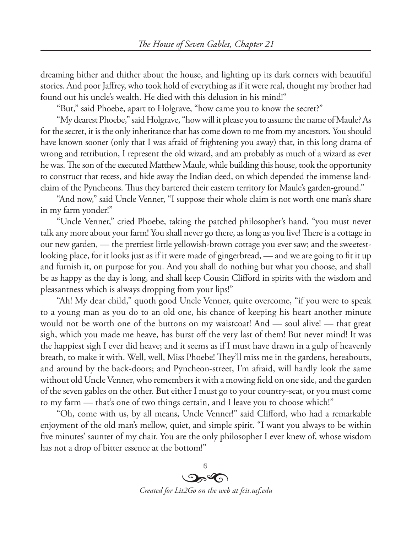dreaming hither and thither about the house, and lighting up its dark corners with beautiful stories. And poor Jaffrey, who took hold of everything as if it were real, thought my brother had found out his uncle's wealth. He died with this delusion in his mind!"

"But," said Phoebe, apart to Holgrave, "how came you to know the secret?"

"My dearest Phoebe," said Holgrave, "how will it please you to assume the name of Maule? As for the secret, it is the only inheritance that has come down to me from my ancestors. You should have known sooner (only that I was afraid of frightening you away) that, in this long drama of wrong and retribution, I represent the old wizard, and am probably as much of a wizard as ever he was. The son of the executed Matthew Maule, while building this house, took the opportunity to construct that recess, and hide away the Indian deed, on which depended the immense landclaim of the Pyncheons. Thus they bartered their eastern territory for Maule's garden-ground."

"And now," said Uncle Venner, "I suppose their whole claim is not worth one man's share in my farm yonder!"

"Uncle Venner," cried Phoebe, taking the patched philosopher's hand, "you must never talk any more about your farm! You shall never go there, as long as you live! There is a cottage in our new garden, — the prettiest little yellowish-brown cottage you ever saw; and the sweetestlooking place, for it looks just as if it were made of gingerbread, — and we are going to fit it up and furnish it, on purpose for you. And you shall do nothing but what you choose, and shall be as happy as the day is long, and shall keep Cousin Clifford in spirits with the wisdom and pleasantness which is always dropping from your lips!"

"Ah! My dear child," quoth good Uncle Venner, quite overcome, "if you were to speak to a young man as you do to an old one, his chance of keeping his heart another minute would not be worth one of the buttons on my waistcoat! And — soul alive! — that great sigh, which you made me heave, has burst off the very last of them! But never mind! It was the happiest sigh I ever did heave; and it seems as if I must have drawn in a gulp of heavenly breath, to make it with. Well, well, Miss Phoebe! They'll miss me in the gardens, hereabouts, and around by the back-doors; and Pyncheon-street, I'm afraid, will hardly look the same without old Uncle Venner, who remembers it with a mowing field on one side, and the garden of the seven gables on the other. But either I must go to your country-seat, or you must come to my farm — that's one of two things certain, and I leave you to choose which!"

"Oh, come with us, by all means, Uncle Venner!" said Clifford, who had a remarkable enjoyment of the old man's mellow, quiet, and simple spirit. "I want you always to be within five minutes' saunter of my chair. You are the only philosopher I ever knew of, whose wisdom has not a drop of bitter essence at the bottom!"